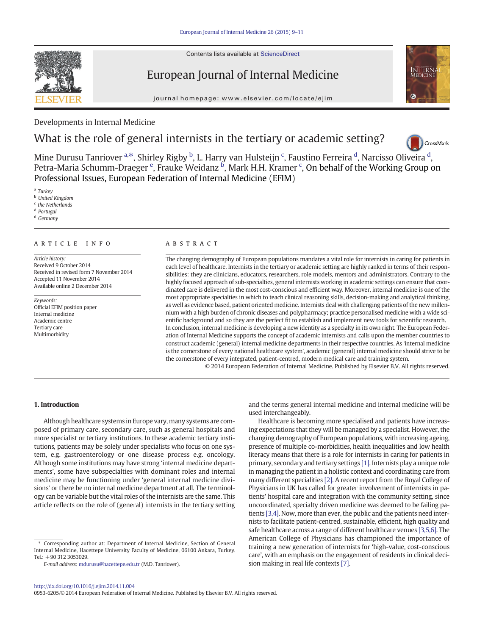Contents lists available at ScienceDirect



European Journal of Internal Medicine

journal homepage: www.elsevier.com/locate/ejim



# Developments in Internal Medicine

# What is the role of general internists in the tertiary or academic setting?



Mine Durusu Tanriover <sup>a,\*</sup>, Shirley Rigby <sup>b</sup>, L. Harry van Hulsteijn <sup>c</sup>, Faustino Ferreira <sup>[d](http://crossmark.crossref.org/dialog/?doi=10.1016/j.ejim.2014.11.004&domain=pdf)</sup>, Narcisso Oliveira <sup>d</sup>, Petra-Maria Schumm-Draeger <sup>e</sup>, Frauke Weidanz <sup>b</sup>, Mark H.H. Kramer <sup>c</sup>, On behalf of the Working Group on Professional Issues, European Federation of Internal Medicine (EFIM)

<sup>a</sup> Turkey

<sup>b</sup> United Kingdom

<sup>c</sup> the Netherlands

<sup>d</sup> Portugal

<sup>d</sup> Germany

# article info abstract

Article history: Received 9 October 2014 Received in revised form 7 November 2014 Accepted 11 November 2014 Available online 2 December 2014

Keywords: Official EFIM position paper Internal medicine Academic centre Tertiary care Multimorbidity

The changing demography of European populations mandates a vital role for internists in caring for patients in each level of healthcare. Internists in the tertiary or academic setting are highly ranked in terms of their responsibilities: they are clinicians, educators, researchers, role models, mentors and administrators. Contrary to the highly focused approach of sub-specialties, general internists working in academic settings can ensure that coordinated care is delivered in the most cost-conscious and efficient way. Moreover, internal medicine is one of the most appropriate specialties in which to teach clinical reasoning skills, decision-making and analytical thinking, as well as evidence based, patient oriented medicine. Internists deal with challenging patients of the new millennium with a high burden of chronic diseases and polypharmacy; practice personalised medicine with a wide scientific background and so they are the perfect fit to establish and implement new tools for scientific research. In conclusion, internal medicine is developing a new identity as a specialty in its own right. The European Federation of Internal Medicine supports the concept of academic internists and calls upon the member countries to construct academic (general) internal medicine departments in their respective countries. As 'internal medicine is the cornerstone of every national healthcare system', academic (general) internal medicine should strive to be the cornerstone of every integrated, patient-centred, modern medical care and training system.

© 2014 European Federation of Internal Medicine. Published by Elsevier B.V. All rights reserved.

# 1. Introduction

Although healthcare systems in Europe vary, many systems are composed of primary care, secondary care, such as general hospitals and more specialist or tertiary institutions. In these academic tertiary institutions, patients may be solely under specialists who focus on one system, e.g. gastroenterology or one disease process e.g. oncology. Although some institutions may have strong 'internal medicine departments', some have subspecialties with dominant roles and internal medicine may be functioning under 'general internal medicine divisions' or there be no internal medicine department at all. The terminology can be variable but the vital roles of the internists are the same. This article reflects on the role of (general) internists in the tertiary setting

⁎ Corresponding author at: Department of Internal Medicine, Section of General Internal Medicine, Hacettepe University Faculty of Medicine, 06100 Ankara, Turkey.  $Tel: +903123053029.$ 

and the terms general internal medicine and internal medicine will be used interchangeably.

Healthcare is becoming more specialised and patients have increasing expectations that they will be managed by a specialist. However, the changing demography of European populations, with increasing ageing, presence of multiple co-morbidities, health inequalities and low health literacy means that there is a role for internists in caring for patients in primary, secondary and tertiary settings [\[1\]](#page-2-0). Internists play a unique role in managing the patient in a holistic context and coordinating care from many different specialities [\[2\].](#page-2-0) A recent report from the Royal College of Physicians in UK has called for greater involvement of internists in patients' hospital care and integration with the community setting, since uncoordinated, specialty driven medicine was deemed to be failing patients [\[3,4\]](#page-2-0). Now, more than ever, the public and the patients need internists to facilitate patient-centred, sustainable, efficient, high quality and safe healthcare across a range of different healthcare venues [\[3,5,6\].](#page-2-0) The American College of Physicians has championed the importance of training a new generation of internists for 'high-value, cost-conscious care', with an emphasis on the engagement of residents in clinical decision making in real life contexts [\[7\].](#page-2-0)

0953-6205/© 2014 European Federation of Internal Medicine. Published by Elsevier B.V. All rights reserved.

E-mail address: [mdurusu@hacettepe.edu.tr](mailto:mdurusu@hacettepe.edu.tr) (M.D. Tanriover).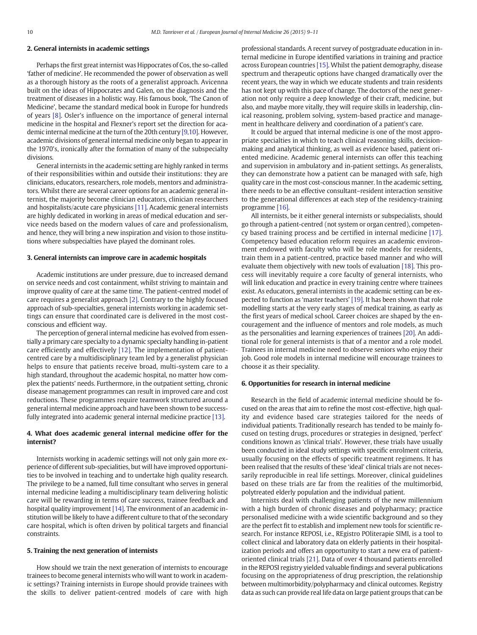# 2. General internists in academic settings

Perhaps the first great internist was Hippocrates of Cos, the so-called 'father of medicine'. He recommended the power of observation as well as a thorough history as the roots of a generalist approach. Avicenna built on the ideas of Hippocrates and Galen, on the diagnosis and the treatment of diseases in a holistic way. His famous book, 'The Canon of Medicine', became the standard medical book in Europe for hundreds of years [\[8\]](#page-2-0). Osler's influence on the importance of general internal medicine in the hospital and Flexner's report set the direction for academic internal medicine at the turn of the 20th century [\[9,10\]](#page-2-0). However, academic divisions of general internal medicine only began to appear in the 1970's, ironically after the formation of many of the subspecialty divisions.

General internists in the academic setting are highly ranked in terms of their responsibilities within and outside their institutions: they are clinicians, educators, researchers, role models, mentors and administrators. Whilst there are several career options for an academic general internist, the majority become clinician educators, clinician researchers and hospitalists/acute care physicians [\[11\].](#page-2-0) Academic general internists are highly dedicated in working in areas of medical education and service needs based on the modern values of care and professionalism, and hence, they will bring a new inspiration and vision to those institutions where subspecialties have played the dominant roles.

### 3. General internists can improve care in academic hospitals

Academic institutions are under pressure, due to increased demand on service needs and cost containment, whilst striving to maintain and improve quality of care at the same time. The patient-centred model of care requires a generalist approach [\[2\].](#page-2-0) Contrary to the highly focused approach of sub-specialties, general internists working in academic settings can ensure that coordinated care is delivered in the most costconscious and efficient way.

The perception of general internal medicine has evolved from essentially a primary care specialty to a dynamic specialty handling in-patient care efficiently and effectively [\[12\]](#page-2-0). The implementation of patientcentred care by a multidisciplinary team led by a generalist physician helps to ensure that patients receive broad, multi-system care to a high standard, throughout the academic hospital, no matter how complex the patients' needs. Furthermore, in the outpatient setting, chronic disease management programmes can result in improved care and cost reductions. These programmes require teamwork structured around a general internal medicine approach and have been shown to be successfully integrated into academic general internal medicine practice [\[13\].](#page-2-0)

# 4. What does academic general internal medicine offer for the internist?

Internists working in academic settings will not only gain more experience of different sub-specialities, but will have improved opportunities to be involved in teaching and to undertake high quality research. The privilege to be a named, full time consultant who serves in general internal medicine leading a multidisciplinary team delivering holistic care will be rewarding in terms of care success, trainee feedback and hospital quality improvement [\[14\].](#page-2-0) The environment of an academic institution will be likely to have a different culture to that of the secondary care hospital, which is often driven by political targets and financial constraints.

#### 5. Training the next generation of internists

How should we train the next generation of internists to encourage trainees to become general internists who will want to work in academic settings? Training internists in Europe should provide trainees with the skills to deliver patient-centred models of care with high professional standards. A recent survey of postgraduate education in internal medicine in Europe identified variations in training and practice across European countries [\[15\].](#page-2-0) Whilst the patient demography, disease spectrum and therapeutic options have changed dramatically over the recent years, the way in which we educate students and train residents has not kept up with this pace of change. The doctors of the next generation not only require a deep knowledge of their craft, medicine, but also, and maybe more vitally, they will require skills in leadership, clinical reasoning, problem solving, system-based practice and management in healthcare delivery and coordination of a patient's care.

It could be argued that internal medicine is one of the most appropriate specialties in which to teach clinical reasoning skills, decisionmaking and analytical thinking, as well as evidence based, patient oriented medicine. Academic general internists can offer this teaching and supervision in ambulatory and in-patient settings. As generalists, they can demonstrate how a patient can be managed with safe, high quality care in the most cost-conscious manner. In the academic setting, there needs to be an effective consultant–resident interaction sensitive to the generational differences at each step of the residency-training programme [\[16\]](#page-2-0).

All internists, be it either general internists or subspecialists, should go through a patient-centred (not system or organ centred), competency based training process and be certified in internal medicine [\[17\].](#page-2-0) Competency based education reform requires an academic environment endowed with faculty who will be role models for residents, train them in a patient-centred, practice based manner and who will evaluate them objectively with new tools of evaluation [\[18\]](#page-2-0). This process will inevitably require a core faculty of general internists, who will link education and practice in every training centre where trainees exist. As educators, general internists in the academic setting can be expected to function as 'master teachers' [\[19\]](#page-2-0). It has been shown that role modelling starts at the very early stages of medical training, as early as the first years of medical school. Career choices are shaped by the encouragement and the influence of mentors and role models, as much as the personalities and learning experiences of trainees [\[20\]](#page-2-0). An additional role for general internists is that of a mentor and a role model. Trainees in internal medicine need to observe seniors who enjoy their job. Good role models in internal medicine will encourage trainees to choose it as their speciality.

# 6. Opportunities for research in internal medicine

Research in the field of academic internal medicine should be focused on the areas that aim to refine the most cost-effective, high quality and evidence based care strategies tailored for the needs of individual patients. Traditionally research has tended to be mainly focused on testing drugs, procedures or strategies in designed, 'perfect' conditions known as 'clinical trials'. However, these trials have usually been conducted in ideal study settings with specific enrolment criteria, usually focusing on the effects of specific treatment regimens. It has been realised that the results of these 'ideal' clinical trials are not necessarily reproducible in real life settings. Moreover, clinical guidelines based on these trials are far from the realities of the multimorbid, polytreated elderly population and the individual patient.

Internists deal with challenging patients of the new millennium with a high burden of chronic diseases and polypharmacy; practice personalised medicine with a wide scientific background and so they are the perfect fit to establish and implement new tools for scientific research. For instance REPOSI, i.e., REgistro POliterapie SIMI, is a tool to collect clinical and laboratory data on elderly patients in their hospitalization periods and offers an opportunity to start a new era of patientoriented clinical trials [\[21\].](#page-2-0) Data of over 4 thousand patients enrolled in the REPOSI registry yielded valuable findings and several publications focusing on the appropriateness of drug prescription, the relationship between multimorbidity/polypharmacy and clinical outcomes. Registry data as such can provide real life data on large patient groups that can be